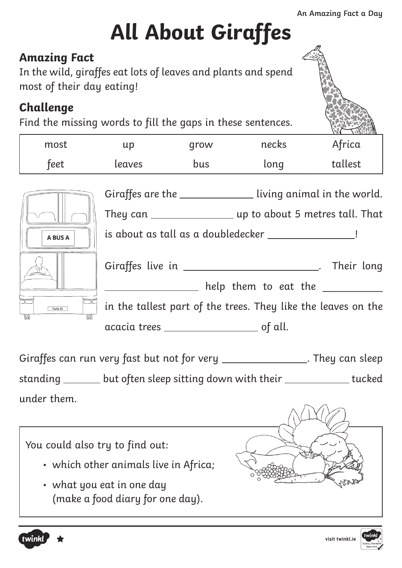## **All About Giraffes**

#### **Amazing Fact**

In the wild, giraffes eat lots of leaves and plants and spend most of their day eating!

#### **Challenge**

Find the missing words to fill the gaps in these sentences.

| most         | up                                                            | grow | necks                                                    | Africa                                                        |  |  |
|--------------|---------------------------------------------------------------|------|----------------------------------------------------------|---------------------------------------------------------------|--|--|
| feet         | leaves                                                        | bus  | long                                                     | tallest                                                       |  |  |
|              |                                                               |      |                                                          | Giraffes are the ________________ living animal in the world. |  |  |
| A BUS A      | is about as tall as a doubledecker ___________________!       |      |                                                          |                                                               |  |  |
|              |                                                               |      | Giraffes live in ___________________________. Their long |                                                               |  |  |
|              |                                                               |      | help them to eat the                                     |                                                               |  |  |
| Tw1n kl<br>羅 | in the tallest part of the trees. They like the leaves on the |      |                                                          |                                                               |  |  |
|              |                                                               |      |                                                          |                                                               |  |  |

Giraffes can run very fast but not for very \_\_\_\_\_\_\_\_\_\_\_\_\_\_\_\_. They can sleep standing \_\_\_\_\_\_\_ but often sleep sitting down with their \_\_\_\_\_\_\_\_\_\_\_\_\_ tucked under them.

You could also try to find out:

- which other animals live in Africa;
- what you eat in one day (make a food diary for one day).



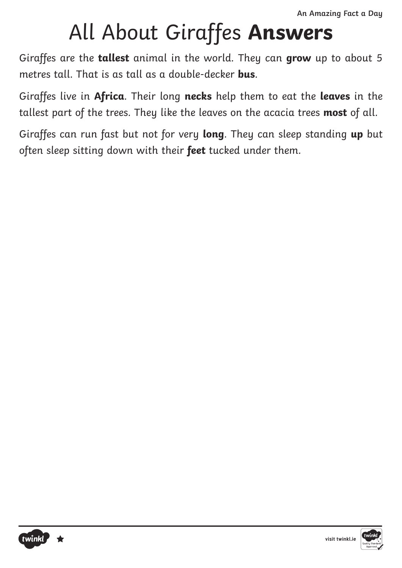### All About Giraffes **Answers**

Giraffes are the **tallest** animal in the world. They can **grow** up to about 5 metres tall. That is as tall as a double-decker **bus**.

Giraffes live in **Africa**. Their long **necks** help them to eat the **leaves** in the tallest part of the trees. They like the leaves on the acacia trees **most** of all.

Giraffes can run fast but not for very **long**. They can sleep standing **up** but often sleep sitting down with their **feet** tucked under them.



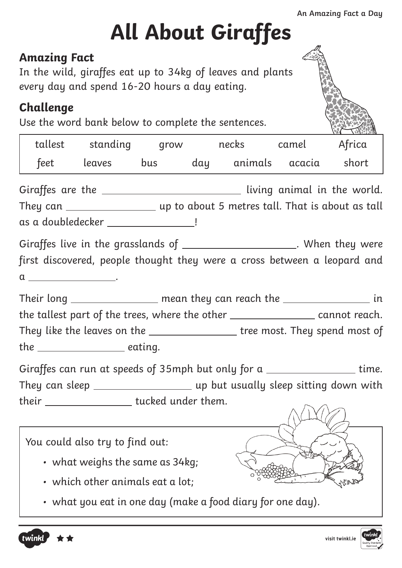## **All About Giraffes**

#### **Amazing Fact**

In the wild, giraffes eat up to 34kg of leaves and plants every day and spend 16-20 hours a day eating.

#### **Challenge**

Use the word bank below to complete the sentences.

|                                | tallest standing grow necks camel Africa                                         |  |  |       |
|--------------------------------|----------------------------------------------------------------------------------|--|--|-------|
|                                | feet leaves bus day animals acacia                                               |  |  | short |
|                                | Giraffes are the ______________________________ living animal in the world.      |  |  |       |
|                                |                                                                                  |  |  |       |
|                                | as a doubledecker __________________!                                            |  |  |       |
|                                | Giraffes live in the grasslands of _______________________. When they were       |  |  |       |
|                                | first discovered, people thought they were a cross between a leopard and         |  |  |       |
| $a \underline{\hspace{2cm}}$ . |                                                                                  |  |  |       |
|                                | Their long ________________ mean they can reach the __________________ in        |  |  |       |
|                                | the tallest part of the trees, where the other ___________________ cannot reach. |  |  |       |
|                                | They like the leaves on the __________________ tree most. They spend most of     |  |  |       |
|                                | the ________________________ eating.                                             |  |  |       |
|                                | Giraffes can run at speeds of 35mph but only for a _________________time.        |  |  |       |
|                                | They can sleep _________________________ up but usually sleep sitting down with  |  |  |       |
|                                | their ______________________tucked under them.                                   |  |  |       |
|                                |                                                                                  |  |  |       |
|                                | You could also try to find out:                                                  |  |  |       |
|                                | • what weighs the same as $34kg$ ;                                               |  |  |       |
|                                | $\cdot$ which other animals eat a lot:                                           |  |  |       |

• what you eat in one day (make a food diary for one day).



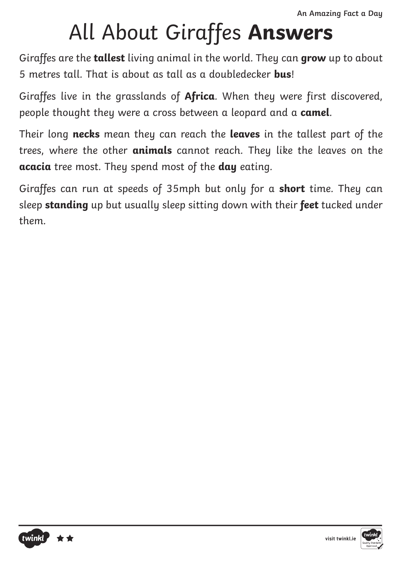### All About Giraffes **Answers**

Giraffes are the **tallest** living animal in the world. They can **grow** up to about 5 metres tall. That is about as tall as a doubledecker **bus**!

Giraffes live in the grasslands of **Africa**. When they were first discovered, people thought they were a cross between a leopard and a **camel**.

Their long **necks** mean they can reach the **leaves** in the tallest part of the trees, where the other **animals** cannot reach. They like the leaves on the **acacia** tree most. They spend most of the **day** eating.

Giraffes can run at speeds of 35mph but only for a **short** time. They can sleep **standing** up but usually sleep sitting down with their **feet** tucked under them.

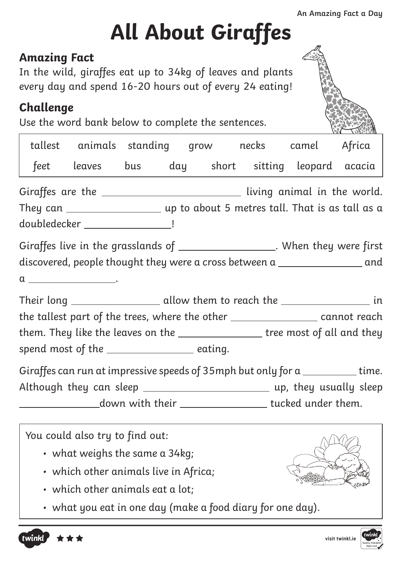# **All About Giraffes**

#### **Amazing Fact**

In the wild, giraffes eat up to 34kg of leaves and plants every day and spend 16-20 hours out of every 24 eating!

#### **Challenge**

Use the word bank below to complete the sentences.

|  | tallest animals standing grow necks camel Africa                                                |  |  |  |                                 |  |  |
|--|-------------------------------------------------------------------------------------------------|--|--|--|---------------------------------|--|--|
|  | feet leaves bus day short sitting leopard acacia                                                |  |  |  |                                 |  |  |
|  | Giraffes are the _______________________________ living animal in the world.                    |  |  |  |                                 |  |  |
|  | They can $\_\_\_\_\_\_\_\_\_\_\_\_\_\_\_\_\_\_$ up to about 5 metres tall. That is as tall as a |  |  |  |                                 |  |  |
|  | doubledecker _____________________!                                                             |  |  |  |                                 |  |  |
|  | Giraffes live in the grasslands of ____________________. When they were first                   |  |  |  |                                 |  |  |
|  | discovered, people thought they were a cross between a _________________________ and            |  |  |  |                                 |  |  |
|  | $a \_$ .                                                                                        |  |  |  |                                 |  |  |
|  | Their long ________________________ allow them to reach the ______________________ in           |  |  |  |                                 |  |  |
|  | the tallest part of the trees, where the other _________________ cannot reach                   |  |  |  |                                 |  |  |
|  | them. They like the leaves on the ________________ tree most of all and they                    |  |  |  |                                 |  |  |
|  | spend most of the ________________ eating.                                                      |  |  |  |                                 |  |  |
|  | Giraffes can run at impressive speeds of $35$ mph but only for a $\_\_\_\_\_\_\_\_\_\_$ time.   |  |  |  |                                 |  |  |
|  |                                                                                                 |  |  |  |                                 |  |  |
|  | ____________________down with their _____________________ tucked under them.                    |  |  |  |                                 |  |  |
|  | $\vert$ You could also try to find out:                                                         |  |  |  | $\wedge$ $\wedge$ $\vee$ $\vee$ |  |  |



- which other animals live in Africa;
- which other animals eat a lot;
- what you eat in one day (make a food diary for one day).